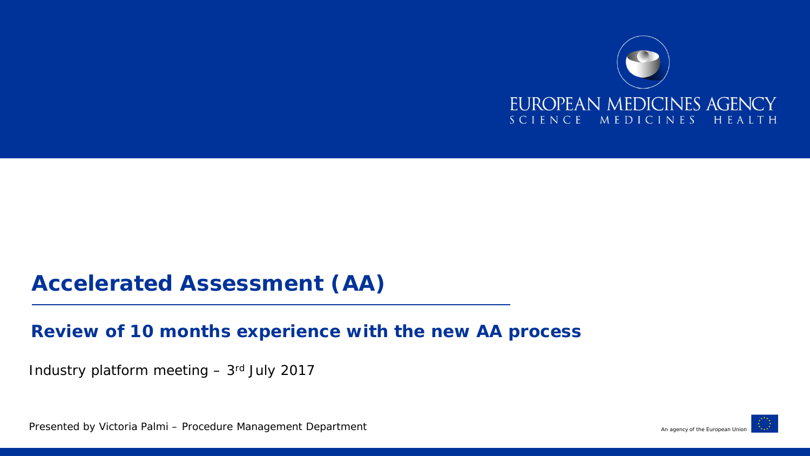

#### **Accelerated Assessment (AA)**

#### **Review of 10 months experience with the new AA process**

Industry platform meeting – 3rd July 2017

Presented by Victoria Palmi – Procedure Management Department

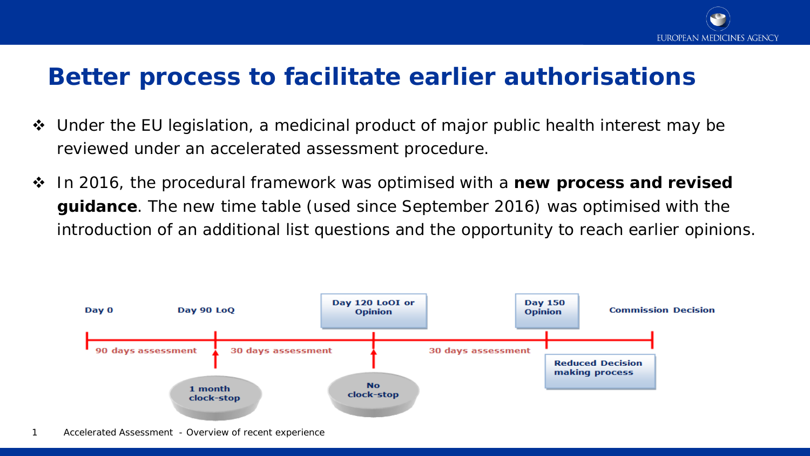

### **Better process to facilitate earlier authorisations**

- ◆ Under the EU legislation, a medicinal product of major public health interest may be reviewed under an accelerated assessment procedure.
- In 2016, the procedural framework was optimised with a **new process and revised guidance**. The new time table (used since September 2016) was optimised with the introduction of an additional list questions and the opportunity to reach earlier opinions.

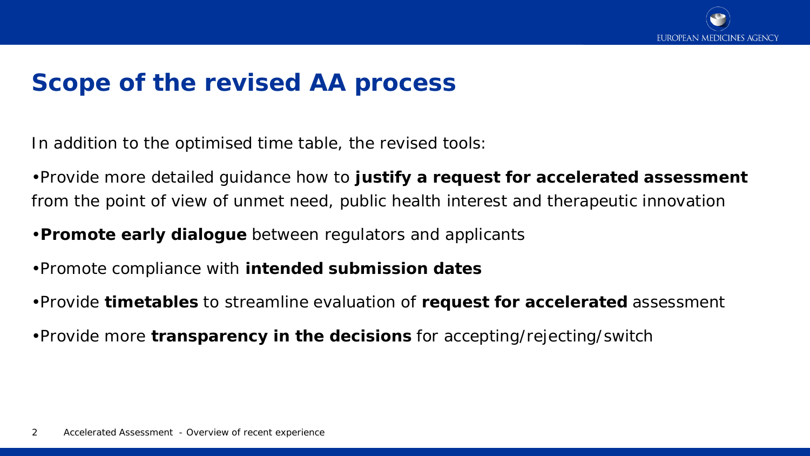

# **Scope of the revised AA process**

In addition to the optimised time table, the revised tools:

•Provide more detailed guidance how to **justify a request for accelerated assessment**  from the point of view of unmet need, public health interest and therapeutic innovation

#### •**Promote early dialogue** between regulators and applicants

- •Promote compliance with **intended submission dates**
- •Provide **timetables** to streamline evaluation of **request for accelerated** assessment
- •Provide more **transparency in the decisions** for accepting/rejecting/switch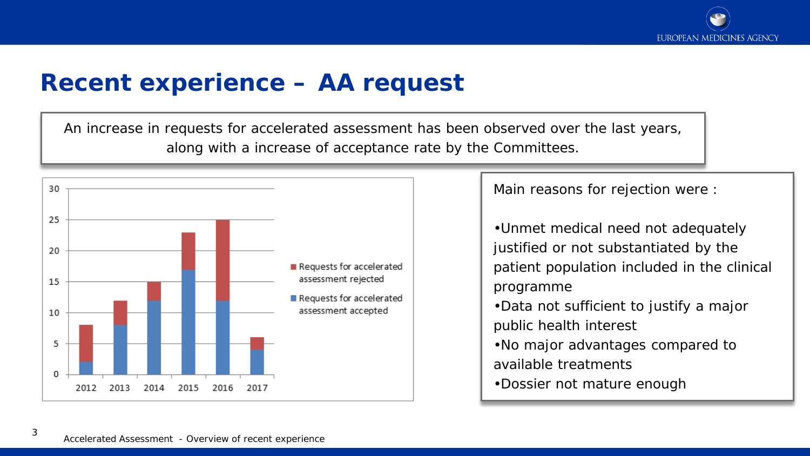

### **Recent experience – AA request**

An increase in requests for accelerated assessment has been observed over the last years, along with a increase of acceptance rate by the Committees.



Main reasons for rejection were :

•Unmet medical need not adequately justified or not substantiated by the patient population included in the clinical programme •Data not sufficient to justify a major public health interest •No major advantages compared to available treatments •Dossier not mature enough

3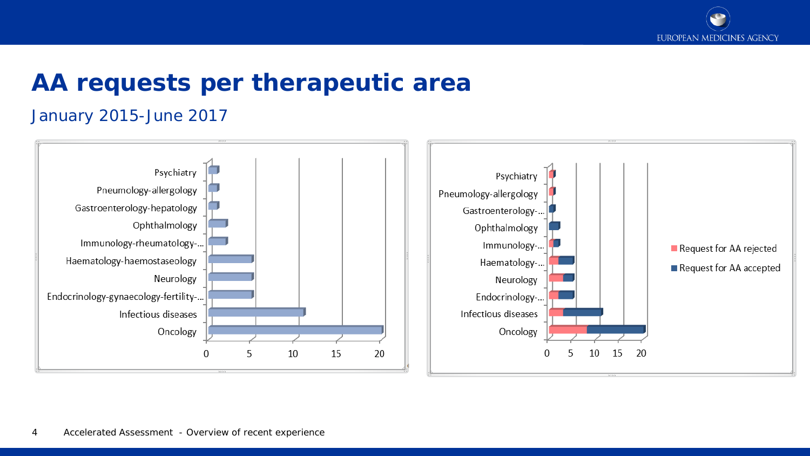

## **AA requests per therapeutic area**

#### January 2015-June 2017

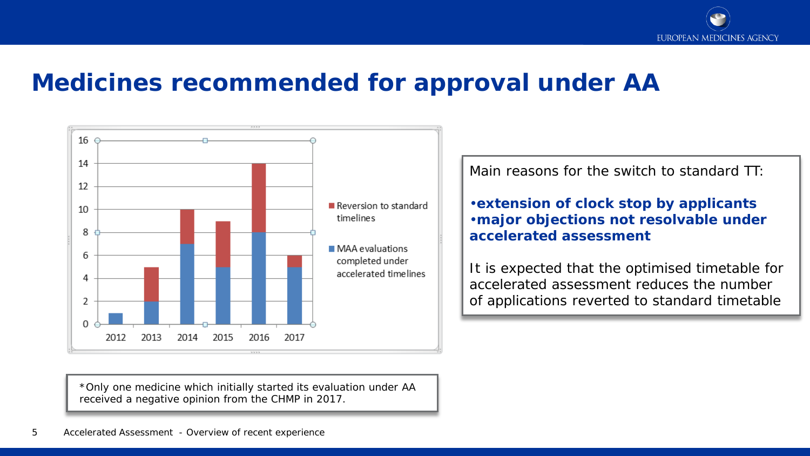

#### **Medicines recommended for approval under AA**



\*Only one medicine which initially started its evaluation under AA received a negative opinion from the CHMP in 2017.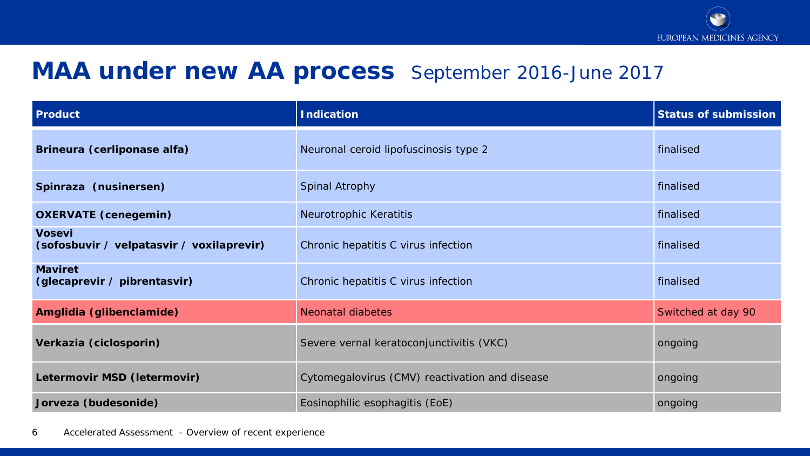### **MAA under new AA process** September 2016-June 2017

| Product                                                    | <b>Indication</b>                              | <b>Status of submission</b> |
|------------------------------------------------------------|------------------------------------------------|-----------------------------|
| Brineura (cerliponase alfa)                                | Neuronal ceroid lipofuscinosis type 2          | finalised                   |
| Spinraza (nusinersen)                                      | <b>Spinal Atrophy</b>                          | finalised                   |
| <b>OXERVATE</b> (cenegemin)                                | Neurotrophic Keratitis                         | finalised                   |
| <b>Vosevi</b><br>(sofosbuvir / velpatasvir / voxilaprevir) | Chronic hepatitis C virus infection            | finalised                   |
| <b>Maviret</b><br>(glecaprevir / pibrentasvir)             | Chronic hepatitis C virus infection            | finalised                   |
| Amglidia (glibenclamide)                                   | Neonatal diabetes                              | Switched at day 90          |
| Verkazia (ciclosporin)                                     | Severe vernal keratoconjunctivitis (VKC)       | ongoing                     |
| Letermovir MSD (letermovir)                                | Cytomegalovirus (CMV) reactivation and disease | ongoing                     |
| Jorveza (budesonide)                                       | Eosinophilic esophagitis (EoE)                 | ongoing                     |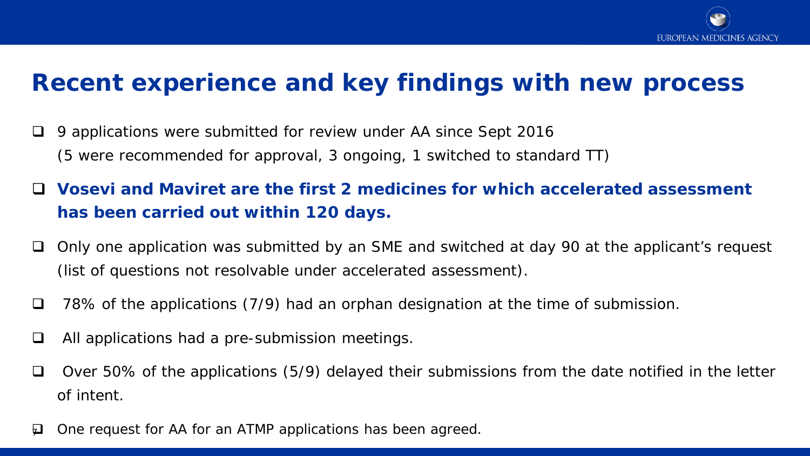

## **Recent experience and key findings with new process**

- □ 9 applications were submitted for review under AA since Sept 2016 (5 were recommended for approval, 3 ongoing, 1 switched to standard TT)
- **Vosevi and Maviret are the first 2 medicines for which accelerated assessment has been carried out within 120 days.**
- $\Box$  Only one application was submitted by an SME and switched at day 90 at the applicant's request (list of questions not resolvable under accelerated assessment).
- $\Box$  78% of the applications (7/9) had an orphan designation at the time of submission.
- $\Box$  All applications had a pre-submission meetings.
- $\Box$  Over 50% of the applications (5/9) delayed their submissions from the date notified in the letter of intent.
- One request for AA for an ATMP applications has been agreed.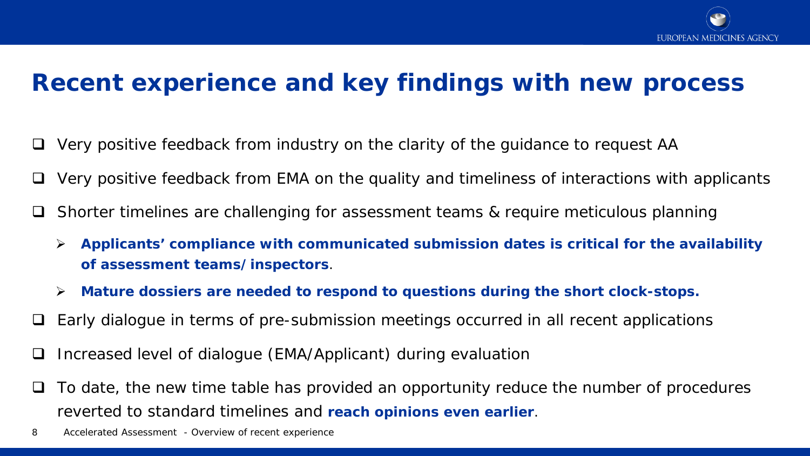

## **Recent experience and key findings with new process**

- Very positive feedback from industry on the clarity of the guidance to request AA
- Very positive feedback from EMA on the quality and timeliness of interactions with applicants
- $\Box$  Shorter timelines are challenging for assessment teams & require meticulous planning
	- **Applicants' compliance with communicated submission dates is critical for the availability of assessment teams/inspectors**.
	- **Mature dossiers are needed to respond to questions during the short clock-stops.**
- Early dialogue in terms of pre-submission meetings occurred in all recent applications
- $\Box$  Increased level of dialogue (EMA/Applicant) during evaluation
- $\Box$  To date, the new time table has provided an opportunity reduce the number of procedures reverted to standard timelines and **reach opinions even earlier**.
- 8 Accelerated Assessment Overview of recent experience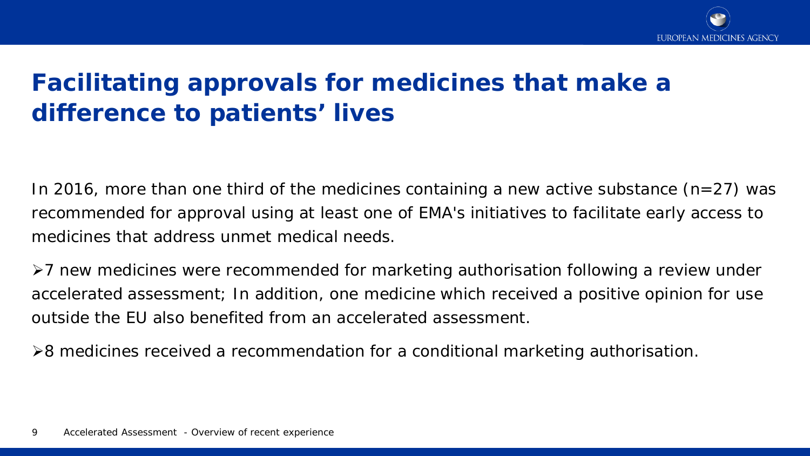

# **Facilitating approvals for medicines that make a difference to patients' lives**

In 2016, more than one third of the medicines containing a new active substance  $(n=27)$  was recommended for approval using at least one of EMA's initiatives to facilitate early access to medicines that address unmet medical needs.

7 new medicines were recommended for marketing authorisation following a review under accelerated assessment; In addition, one medicine which received a positive opinion for use outside the EU also benefited from an accelerated assessment.

**>8 medicines received a recommendation for a conditional marketing authorisation.**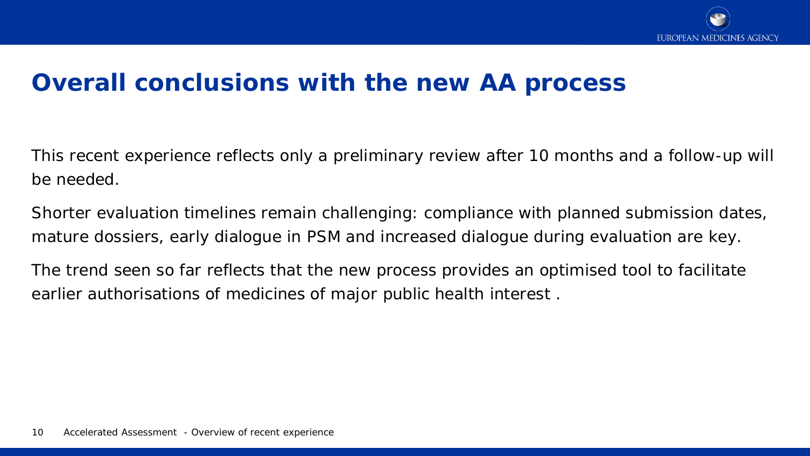

## **Overall conclusions with the new AA process**

This recent experience reflects only a preliminary review after 10 months and a follow-up will be needed.

Shorter evaluation timelines remain challenging: compliance with planned submission dates, mature dossiers, early dialogue in PSM and increased dialogue during evaluation are key.

The trend seen so far reflects that the new process provides an optimised tool to facilitate earlier authorisations of medicines of major public health interest .